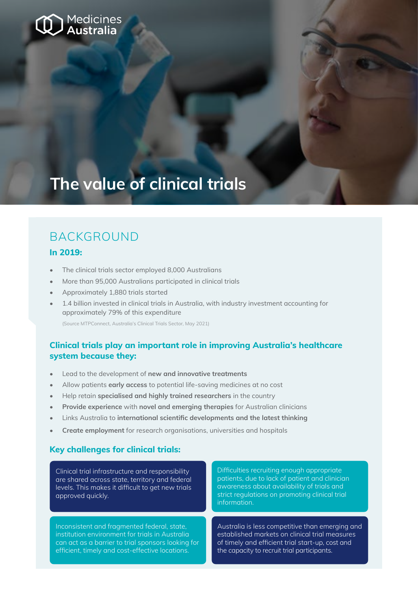

# **The value of clinical trials**

### BACKGROUND

#### **In 2019:**

- The clinical trials sector employed 8,000 Australians
- More than 95,000 Australians participated in clinical trials
- Approximately 1,880 trials started
- 1.4 billion invested in clinical trials in Australia, with industry investment accounting for approximately 79% of this expenditure

(Source MTPConnect, Australia's Clinical Trials Sector, May 2021)

#### **Clinical trials play an important role in improving Australia's healthcare system because they:**

- Lead to the development of **new and innovative treatments**
- Allow patients **early access** to potential life-saving medicines at no cost
- Help retain **specialised and highly trained researchers** in the country
- **• Provide experience** with **novel and emerging therapies** for Australian clinicians
- Links Australia to **international scientific developments and the latest thinking**
- **• Create employment** for research organisations, universities and hospitals

#### **Key challenges for clinical trials:**

Clinical trial infrastructure and responsibility are shared across state, territory and federal levels. This makes it difficult to get new trials approved quickly.

Inconsistent and fragmented federal, state, institution environment for trials in Australia can act as a barrier to trial sponsors looking for efficient, timely and cost-effective locations.

Difficulties recruiting enough appropriate patients, due to lack of patient and clinician awareness about availability of trials and strict regulations on promoting clinical trial information.

Australia is less competitive than emerging and established markets on clinical trial measures of timely and efficient trial start-up, cost and the capacity to recruit trial participants.